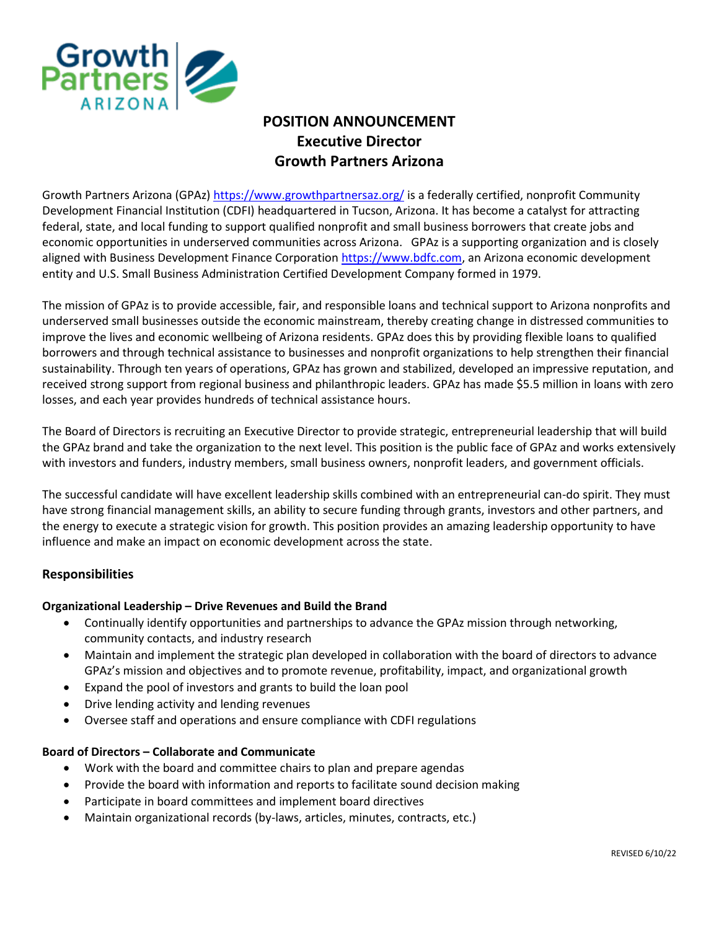

# **POSITION ANNOUNCEMENT Executive Director Growth Partners Arizona**

Growth Partners Arizona (GPAz[\) https://www.growthpartnersaz.org/](https://www.growthpartnersaz.org/) is a federally certified, nonprofit Community Development Financial Institution (CDFI) headquartered in Tucson, Arizona. It has become a catalyst for attracting federal, state, and local funding to support qualified nonprofit and small business borrowers that create jobs and economic opportunities in underserved communities across Arizona. GPAz is a supporting organization and is closely aligned with Business Development Finance Corporation [https://www.bdfc.com,](https://www.bdfc.com/) an Arizona economic development entity and U.S. Small Business Administration Certified Development Company formed in 1979.

The mission of GPAz is to provide accessible, fair, and responsible loans and technical support to Arizona nonprofits and underserved small businesses outside the economic mainstream, thereby creating change in distressed communities to improve the lives and economic wellbeing of Arizona residents. GPAz does this by providing flexible loans to qualified borrowers and through technical assistance to businesses and nonprofit organizations to help strengthen their financial sustainability. Through ten years of operations, GPAz has grown and stabilized, developed an impressive reputation, and received strong support from regional business and philanthropic leaders. GPAz has made \$5.5 million in loans with zero losses, and each year provides hundreds of technical assistance hours.

The Board of Directors is recruiting an Executive Director to provide strategic, entrepreneurial leadership that will build the GPAz brand and take the organization to the next level. This position is the public face of GPAz and works extensively with investors and funders, industry members, small business owners, nonprofit leaders, and government officials.

The successful candidate will have excellent leadership skills combined with an entrepreneurial can-do spirit. They must have strong financial management skills, an ability to secure funding through grants, investors and other partners, and the energy to execute a strategic vision for growth. This position provides an amazing leadership opportunity to have influence and make an impact on economic development across the state.

# **Responsibilities**

### **Organizational Leadership – Drive Revenues and Build the Brand**

- Continually identify opportunities and partnerships to advance the GPAz mission through networking, community contacts, and industry research
- Maintain and implement the strategic plan developed in collaboration with the board of directors to advance GPAz's mission and objectives and to promote revenue, profitability, impact, and organizational growth
- Expand the pool of investors and grants to build the loan pool
- Drive lending activity and lending revenues
- Oversee staff and operations and ensure compliance with CDFI regulations

### **Board of Directors – Collaborate and Communicate**

- Work with the board and committee chairs to plan and prepare agendas
- Provide the board with information and reports to facilitate sound decision making
- Participate in board committees and implement board directives
- Maintain organizational records (by-laws, articles, minutes, contracts, etc.)